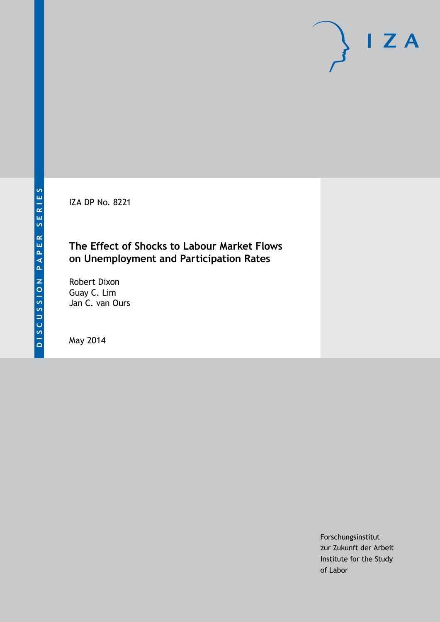IZA DP No. 8221

### **The Effect of Shocks to Labour Market Flows on Unemployment and Participation Rates**

Robert Dixon Guay C. Lim Jan C. van Ours

May 2014

Forschungsinstitut zur Zukunft der Arbeit Institute for the Study of Labor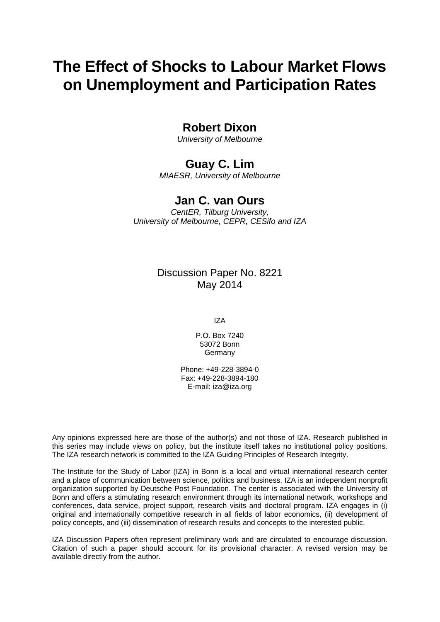# **The Effect of Shocks to Labour Market Flows on Unemployment and Participation Rates**

### **Robert Dixon**

*University of Melbourne*

# **Guay C. Lim**

*MIAESR, University of Melbourne*

## **Jan C. van Ours**

*CentER, Tilburg University, University of Melbourne, CEPR, CESifo and IZA*

### Discussion Paper No. 8221 May 2014

IZA

P.O. Box 7240 53072 Bonn **Germany** 

Phone: +49-228-3894-0 Fax: +49-228-3894-180 E-mail: [iza@iza.org](mailto:iza@iza.org)

Any opinions expressed here are those of the author(s) and not those of IZA. Research published in this series may include views on policy, but the institute itself takes no institutional policy positions. The IZA research network is committed to the IZA Guiding Principles of Research Integrity.

The Institute for the Study of Labor (IZA) in Bonn is a local and virtual international research center and a place of communication between science, politics and business. IZA is an independent nonprofit organization supported by Deutsche Post Foundation. The center is associated with the University of Bonn and offers a stimulating research environment through its international network, workshops and conferences, data service, project support, research visits and doctoral program. IZA engages in (i) original and internationally competitive research in all fields of labor economics, (ii) development of policy concepts, and (iii) dissemination of research results and concepts to the interested public.

IZA Discussion Papers often represent preliminary work and are circulated to encourage discussion. Citation of such a paper should account for its provisional character. A revised version may be available directly from the author.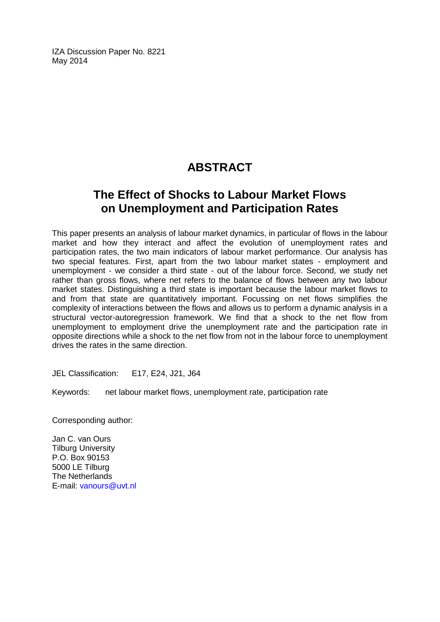IZA Discussion Paper No. 8221 May 2014

# **ABSTRACT**

# **The Effect of Shocks to Labour Market Flows on Unemployment and Participation Rates**

This paper presents an analysis of labour market dynamics, in particular of flows in the labour market and how they interact and affect the evolution of unemployment rates and participation rates, the two main indicators of labour market performance. Our analysis has two special features. First, apart from the two labour market states - employment and unemployment - we consider a third state - out of the labour force. Second, we study net rather than gross flows, where net refers to the balance of flows between any two labour market states. Distinguishing a third state is important because the labour market flows to and from that state are quantitatively important. Focussing on net flows simplifies the complexity of interactions between the flows and allows us to perform a dynamic analysis in a structural vector-autoregression framework. We find that a shock to the net flow from unemployment to employment drive the unemployment rate and the participation rate in opposite directions while a shock to the net flow from not in the labour force to unemployment drives the rates in the same direction.

JEL Classification: E17, E24, J21, J64

Keywords: net labour market flows, unemployment rate, participation rate

Corresponding author:

Jan C. van Ours Tilburg University P.O. Box 90153 5000 LE Tilburg The Netherlands E-mail: [vanours@uvt.nl](mailto:vanours@uvt.nl)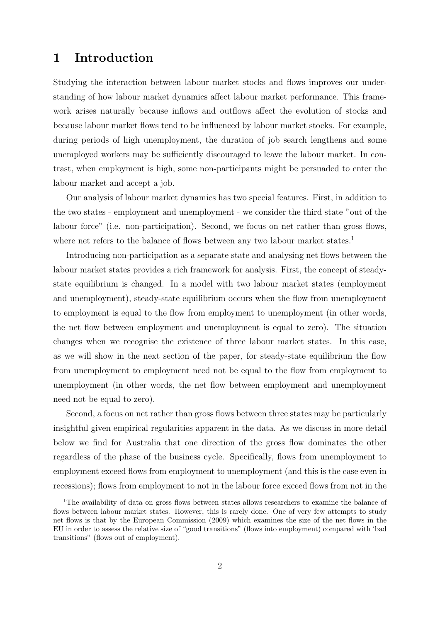# 1 Introduction

Studying the interaction between labour market stocks and flows improves our understanding of how labour market dynamics affect labour market performance. This framework arises naturally because inflows and outflows affect the evolution of stocks and because labour market flows tend to be influenced by labour market stocks. For example, during periods of high unemployment, the duration of job search lengthens and some unemployed workers may be sufficiently discouraged to leave the labour market. In contrast, when employment is high, some non-participants might be persuaded to enter the labour market and accept a job.

Our analysis of labour market dynamics has two special features. First, in addition to the two states - employment and unemployment - we consider the third state "out of the labour force" (i.e. non-participation). Second, we focus on net rather than gross flows, where net refers to the balance of flows between any two labour market states.<sup>1</sup>

Introducing non-participation as a separate state and analysing net flows between the labour market states provides a rich framework for analysis. First, the concept of steadystate equilibrium is changed. In a model with two labour market states (employment and unemployment), steady-state equilibrium occurs when the flow from unemployment to employment is equal to the flow from employment to unemployment (in other words, the net flow between employment and unemployment is equal to zero). The situation changes when we recognise the existence of three labour market states. In this case, as we will show in the next section of the paper, for steady-state equilibrium the flow from unemployment to employment need not be equal to the flow from employment to unemployment (in other words, the net flow between employment and unemployment need not be equal to zero).

Second, a focus on net rather than gross flows between three states may be particularly insightful given empirical regularities apparent in the data. As we discuss in more detail below we find for Australia that one direction of the gross flow dominates the other regardless of the phase of the business cycle. Specifically, flows from unemployment to employment exceed flows from employment to unemployment (and this is the case even in recessions); flows from employment to not in the labour force exceed flows from not in the

<sup>&</sup>lt;sup>1</sup>The availability of data on gross flows between states allows researchers to examine the balance of flows between labour market states. However, this is rarely done. One of very few attempts to study net flows is that by the European Commission (2009) which examines the size of the net flows in the EU in order to assess the relative size of "good transitions" (flows into employment) compared with 'bad transitions" (flows out of employment).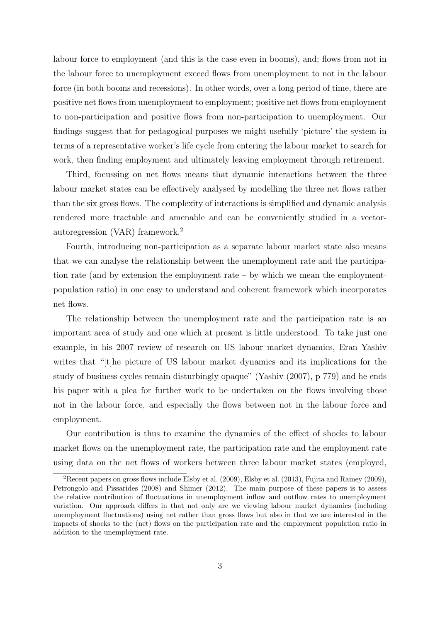labour force to employment (and this is the case even in booms), and; flows from not in the labour force to unemployment exceed flows from unemployment to not in the labour force (in both booms and recessions). In other words, over a long period of time, there are positive net flows from unemployment to employment; positive net flows from employment to non-participation and positive flows from non-participation to unemployment. Our findings suggest that for pedagogical purposes we might usefully 'picture' the system in terms of a representative worker's life cycle from entering the labour market to search for work, then finding employment and ultimately leaving employment through retirement.

Third, focussing on net flows means that dynamic interactions between the three labour market states can be effectively analysed by modelling the three net flows rather than the six gross flows. The complexity of interactions is simplified and dynamic analysis rendered more tractable and amenable and can be conveniently studied in a vectorautoregression (VAR) framework.<sup>2</sup>

Fourth, introducing non-participation as a separate labour market state also means that we can analyse the relationship between the unemployment rate and the participation rate (and by extension the employment rate – by which we mean the employmentpopulation ratio) in one easy to understand and coherent framework which incorporates net flows.

The relationship between the unemployment rate and the participation rate is an important area of study and one which at present is little understood. To take just one example, in his 2007 review of research on US labour market dynamics, Eran Yashiv writes that "[t]he picture of US labour market dynamics and its implications for the study of business cycles remain disturbingly opaque" (Yashiv (2007), p 779) and he ends his paper with a plea for further work to be undertaken on the flows involving those not in the labour force, and especially the flows between not in the labour force and employment.

Our contribution is thus to examine the dynamics of the effect of shocks to labour market flows on the unemployment rate, the participation rate and the employment rate using data on the net flows of workers between three labour market states (employed,

<sup>&</sup>lt;sup>2</sup>Recent papers on gross flows include Elsby et al.  $(2009)$ , Elsby et al.  $(2013)$ , Fujita and Ramey  $(2009)$ , Petrongolo and Pissarides (2008) and Shimer (2012). The main purpose of these papers is to assess the relative contribution of fluctuations in unemployment inflow and outflow rates to unemployment variation. Our approach differs in that not only are we viewing labour market dynamics (including unemployment fluctuations) using net rather than gross flows but also in that we are interested in the impacts of shocks to the (net) flows on the participation rate and the employment population ratio in addition to the unemployment rate.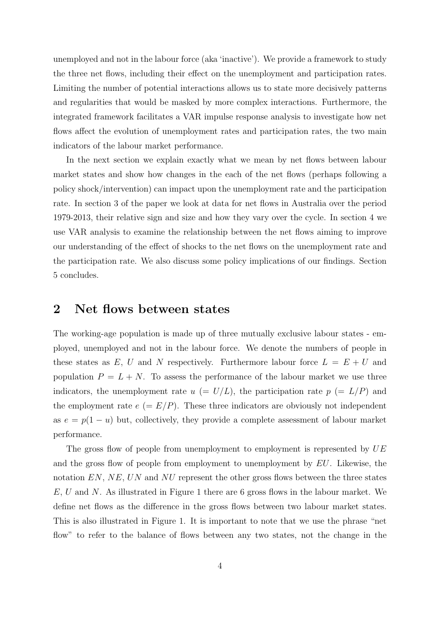unemployed and not in the labour force (aka 'inactive'). We provide a framework to study the three net flows, including their effect on the unemployment and participation rates. Limiting the number of potential interactions allows us to state more decisively patterns and regularities that would be masked by more complex interactions. Furthermore, the integrated framework facilitates a VAR impulse response analysis to investigate how net flows affect the evolution of unemployment rates and participation rates, the two main indicators of the labour market performance.

In the next section we explain exactly what we mean by net flows between labour market states and show how changes in the each of the net flows (perhaps following a policy shock/intervention) can impact upon the unemployment rate and the participation rate. In section 3 of the paper we look at data for net flows in Australia over the period 1979-2013, their relative sign and size and how they vary over the cycle. In section 4 we use VAR analysis to examine the relationship between the net flows aiming to improve our understanding of the effect of shocks to the net flows on the unemployment rate and the participation rate. We also discuss some policy implications of our findings. Section 5 concludes.

### 2 Net flows between states

The working-age population is made up of three mutually exclusive labour states - employed, unemployed and not in the labour force. We denote the numbers of people in these states as E, U and N respectively. Furthermore labour force  $L = E + U$  and population  $P = L + N$ . To assess the performance of the labour market we use three indicators, the unemployment rate  $u (= U/L)$ , the participation rate  $p (= L/P)$  and the employment rate  $e (= E/P)$ . These three indicators are obviously not independent as  $e = p(1 - u)$  but, collectively, they provide a complete assessment of labour market performance.

The gross flow of people from unemployment to employment is represented by  $UE$ and the gross flow of people from employment to unemployment by EU. Likewise, the notation  $EN, NE, UN$  and  $NU$  represent the other gross flows between the three states  $E, U$  and N. As illustrated in Figure 1 there are 6 gross flows in the labour market. We define net flows as the difference in the gross flows between two labour market states. This is also illustrated in Figure 1. It is important to note that we use the phrase "net flow" to refer to the balance of flows between any two states, not the change in the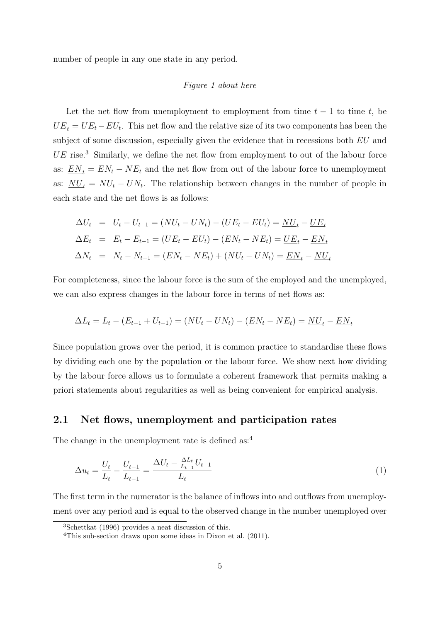number of people in any one state in any period.

#### Figure 1 about here

Let the net flow from unemployment to employment from time  $t - 1$  to time t, be  $\underline{UE}_t = UE_t - EU_t$ . This net flow and the relative size of its two components has been the subject of some discussion, especially given the evidence that in recessions both  $EU$  and  $UE$  rise.<sup>3</sup> Similarly, we define the net flow from employment to out of the labour force as:  $EN_t = EN_t - NE_t$  and the net flow from out of the labour force to unemployment as:  $\frac{NU_t}{N} = NU_t - UN_t$ . The relationship between changes in the number of people in each state and the net flows is as follows:

$$
\Delta U_t = U_t - U_{t-1} = (NU_t - UN_t) - (UE_t - EU_t) = \underline{NU}_t - \underline{UE}_t
$$
  
\n
$$
\Delta E_t = E_t - E_{t-1} = (UE_t - EU_t) - (EN_t - NE_t) = \underline{UE}_t - \underline{EN}_t
$$
  
\n
$$
\Delta N_t = N_t - N_{t-1} = (EN_t - NE_t) + (NU_t - UN_t) = \underline{EN}_t - \underline{NU}_t
$$

For completeness, since the labour force is the sum of the employed and the unemployed, we can also express changes in the labour force in terms of net flows as:

$$
\Delta L_t = L_t - (E_{t-1} + U_{t-1}) = (NU_t - UN_t) - (EN_t - NE_t) = \underline{NU}_t - \underline{EN}_t
$$

Since population grows over the period, it is common practice to standardise these flows by dividing each one by the population or the labour force. We show next how dividing by the labour force allows us to formulate a coherent framework that permits making a priori statements about regularities as well as being convenient for empirical analysis.

### 2.1 Net flows, unemployment and participation rates

The change in the unemployment rate is defined as:<sup>4</sup>

$$
\Delta u_t = \frac{U_t}{L_t} - \frac{U_{t-1}}{L_{t-1}} = \frac{\Delta U_t - \frac{\Delta L_t}{L_{t-1}} U_{t-1}}{L_t} \tag{1}
$$

The first term in the numerator is the balance of inflows into and outflows from unemployment over any period and is equal to the observed change in the number unemployed over

<sup>3</sup>Schettkat (1996) provides a neat discussion of this.

<sup>4</sup>This sub-section draws upon some ideas in Dixon et al. (2011).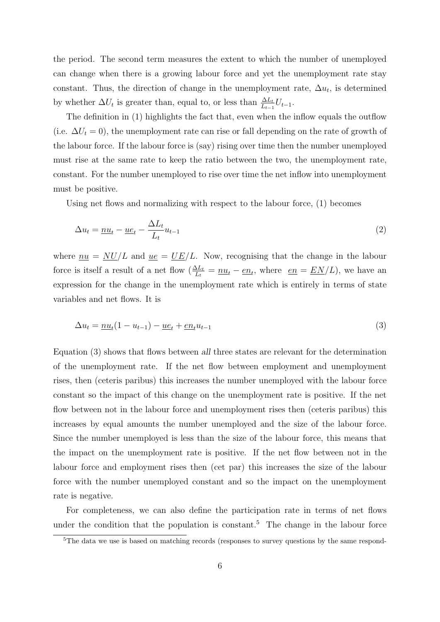the period. The second term measures the extent to which the number of unemployed can change when there is a growing labour force and yet the unemployment rate stay constant. Thus, the direction of change in the unemployment rate,  $\Delta u_t$ , is determined by whether  $\Delta U_t$  is greater than, equal to, or less than  $\frac{\Delta L_t}{L_{t-1}}U_{t-1}$ .

The definition in (1) highlights the fact that, even when the inflow equals the outflow (i.e.  $\Delta U_t = 0$ ), the unemployment rate can rise or fall depending on the rate of growth of the labour force. If the labour force is (say) rising over time then the number unemployed must rise at the same rate to keep the ratio between the two, the unemployment rate, constant. For the number unemployed to rise over time the net inflow into unemployment must be positive.

Using net flows and normalizing with respect to the labour force, (1) becomes

$$
\Delta u_t = \underline{nu}_t - \underline{u}e_t - \frac{\Delta L_t}{L_t}u_{t-1}
$$
\n<sup>(2)</sup>

where  $\mu u = N U/L$  and  $\mu e = U/E/L$ . Now, recognising that the change in the labour force is itself a result of a net flow  $(\frac{\Delta L_t}{L_t} = \underline{nu_t} - \underline{en_t}$ , where  $\underline{en} = \underline{EN}/L$ ), we have an expression for the change in the unemployment rate which is entirely in terms of state variables and net flows. It is

$$
\Delta u_t = \underline{nu}_t (1 - u_{t-1}) - \underline{u} \underline{e}_t + \underline{e} \underline{n}_t u_{t-1} \tag{3}
$$

Equation (3) shows that flows between all three states are relevant for the determination of the unemployment rate. If the net flow between employment and unemployment rises, then (ceteris paribus) this increases the number unemployed with the labour force constant so the impact of this change on the unemployment rate is positive. If the net flow between not in the labour force and unemployment rises then (ceteris paribus) this increases by equal amounts the number unemployed and the size of the labour force. Since the number unemployed is less than the size of the labour force, this means that the impact on the unemployment rate is positive. If the net flow between not in the labour force and employment rises then (cet par) this increases the size of the labour force with the number unemployed constant and so the impact on the unemployment rate is negative.

For completeness, we can also define the participation rate in terms of net flows under the condition that the population is constant.<sup>5</sup> The change in the labour force

<sup>&</sup>lt;sup>5</sup>The data we use is based on matching records (responses to survey questions by the same respond-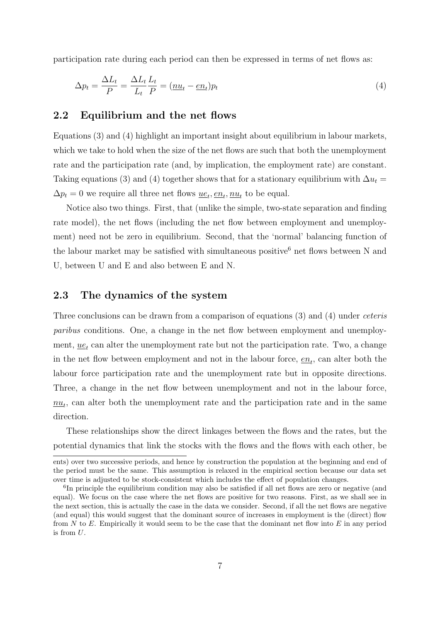participation rate during each period can then be expressed in terms of net flows as:

$$
\Delta p_t = \frac{\Delta L_t}{P} = \frac{\Delta L_t}{L_t} \frac{L_t}{P} = (\underline{nu_t} - \underline{en}_t)p_t
$$
\n(4)

#### 2.2 Equilibrium and the net flows

Equations (3) and (4) highlight an important insight about equilibrium in labour markets, which we take to hold when the size of the net flows are such that both the unemployment rate and the participation rate (and, by implication, the employment rate) are constant. Taking equations (3) and (4) together shows that for a stationary equilibrium with  $\Delta u_t =$  $\Delta p_t = 0$  we require all three net flows  $\underline{ue}_t, \underline{eu}_t, \underline{nu}_t$  to be equal.

Notice also two things. First, that (unlike the simple, two-state separation and finding rate model), the net flows (including the net flow between employment and unemployment) need not be zero in equilibrium. Second, that the 'normal' balancing function of the labour market may be satisfied with simultaneous positive<sup>6</sup> net flows between N and U, between U and E and also between E and N.

### 2.3 The dynamics of the system

Three conclusions can be drawn from a comparison of equations (3) and (4) under ceteris paribus conditions. One, a change in the net flow between employment and unemployment,  $u e_t$  can alter the unemployment rate but not the participation rate. Two, a change in the net flow between employment and not in the labour force,  $\underline{en}_t$ , can alter both the labour force participation rate and the unemployment rate but in opposite directions. Three, a change in the net flow between unemployment and not in the labour force,  $\underline{nu}_t$ , can alter both the unemployment rate and the participation rate and in the same direction.

These relationships show the direct linkages between the flows and the rates, but the potential dynamics that link the stocks with the flows and the flows with each other, be

ents) over two successive periods, and hence by construction the population at the beginning and end of the period must be the same. This assumption is relaxed in the empirical section because our data set over time is adjusted to be stock-consistent which includes the effect of population changes.

<sup>&</sup>lt;sup>6</sup>In principle the equilibrium condition may also be satisfied if all net flows are zero or negative (and equal). We focus on the case where the net flows are positive for two reasons. First, as we shall see in the next section, this is actually the case in the data we consider. Second, if all the net flows are negative (and equal) this would suggest that the dominant source of increases in employment is the (direct) flow from N to E. Empirically it would seem to be the case that the dominant net flow into E in any period is from U.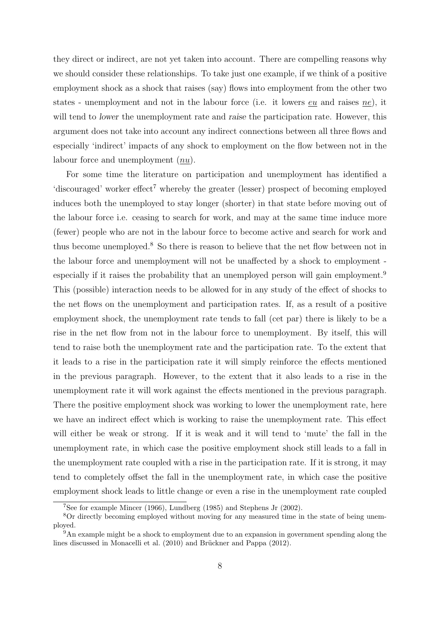they direct or indirect, are not yet taken into account. There are compelling reasons why we should consider these relationships. To take just one example, if we think of a positive employment shock as a shock that raises (say) flows into employment from the other two states - unemployment and not in the labour force (i.e. it lowers eu and raises ne), it will tend to lower the unemployment rate and raise the participation rate. However, this argument does not take into account any indirect connections between all three flows and especially 'indirect' impacts of any shock to employment on the flow between not in the labour force and unemployment (nu).

For some time the literature on participation and unemployment has identified a 'discouraged' worker effect<sup>7</sup> whereby the greater (lesser) prospect of becoming employed induces both the unemployed to stay longer (shorter) in that state before moving out of the labour force i.e. ceasing to search for work, and may at the same time induce more (fewer) people who are not in the labour force to become active and search for work and thus become unemployed.<sup>8</sup> So there is reason to believe that the net flow between not in the labour force and unemployment will not be unaffected by a shock to employment especially if it raises the probability that an unemployed person will gain employment.<sup>9</sup> This (possible) interaction needs to be allowed for in any study of the effect of shocks to the net flows on the unemployment and participation rates. If, as a result of a positive employment shock, the unemployment rate tends to fall (cet par) there is likely to be a rise in the net flow from not in the labour force to unemployment. By itself, this will tend to raise both the unemployment rate and the participation rate. To the extent that it leads to a rise in the participation rate it will simply reinforce the effects mentioned in the previous paragraph. However, to the extent that it also leads to a rise in the unemployment rate it will work against the effects mentioned in the previous paragraph. There the positive employment shock was working to lower the unemployment rate, here we have an indirect effect which is working to raise the unemployment rate. This effect will either be weak or strong. If it is weak and it will tend to 'mute' the fall in the unemployment rate, in which case the positive employment shock still leads to a fall in the unemployment rate coupled with a rise in the participation rate. If it is strong, it may tend to completely offset the fall in the unemployment rate, in which case the positive employment shock leads to little change or even a rise in the unemployment rate coupled

<sup>7</sup>See for example Mincer (1966), Lundberg (1985) and Stephens Jr (2002).

<sup>&</sup>lt;sup>8</sup>Or directly becoming employed without moving for any measured time in the state of being unemployed.

 $9^9$ An example might be a shock to employment due to an expansion in government spending along the lines discussed in Monacelli et al. (2010) and Brückner and Pappa (2012).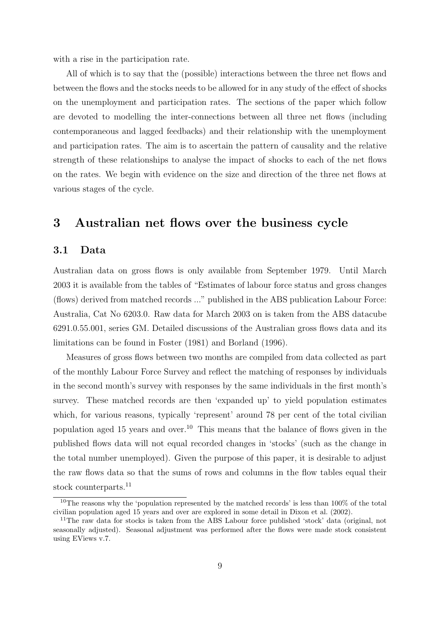with a rise in the participation rate.

All of which is to say that the (possible) interactions between the three net flows and between the flows and the stocks needs to be allowed for in any study of the effect of shocks on the unemployment and participation rates. The sections of the paper which follow are devoted to modelling the inter-connections between all three net flows (including contemporaneous and lagged feedbacks) and their relationship with the unemployment and participation rates. The aim is to ascertain the pattern of causality and the relative strength of these relationships to analyse the impact of shocks to each of the net flows on the rates. We begin with evidence on the size and direction of the three net flows at various stages of the cycle.

## 3 Australian net flows over the business cycle

### 3.1 Data

Australian data on gross flows is only available from September 1979. Until March 2003 it is available from the tables of "Estimates of labour force status and gross changes (flows) derived from matched records ..." published in the ABS publication Labour Force: Australia, Cat No 6203.0. Raw data for March 2003 on is taken from the ABS datacube 6291.0.55.001, series GM. Detailed discussions of the Australian gross flows data and its limitations can be found in Foster (1981) and Borland (1996).

Measures of gross flows between two months are compiled from data collected as part of the monthly Labour Force Survey and reflect the matching of responses by individuals in the second month's survey with responses by the same individuals in the first month's survey. These matched records are then 'expanded up' to yield population estimates which, for various reasons, typically 'represent' around 78 per cent of the total civilian population aged 15 years and over.<sup>10</sup> This means that the balance of flows given in the published flows data will not equal recorded changes in 'stocks' (such as the change in the total number unemployed). Given the purpose of this paper, it is desirable to adjust the raw flows data so that the sums of rows and columns in the flow tables equal their stock counterparts.<sup>11</sup>

<sup>&</sup>lt;sup>10</sup>The reasons why the 'population represented by the matched records' is less than  $100\%$  of the total civilian population aged 15 years and over are explored in some detail in Dixon et al. (2002).

<sup>&</sup>lt;sup>11</sup>The raw data for stocks is taken from the ABS Labour force published 'stock' data (original, not seasonally adjusted). Seasonal adjustment was performed after the flows were made stock consistent using EViews v.7.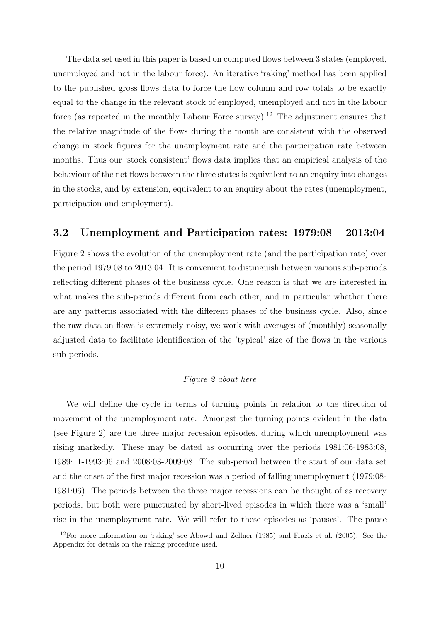The data set used in this paper is based on computed flows between 3 states (employed, unemployed and not in the labour force). An iterative 'raking' method has been applied to the published gross flows data to force the flow column and row totals to be exactly equal to the change in the relevant stock of employed, unemployed and not in the labour force (as reported in the monthly Labour Force survey).<sup>12</sup> The adjustment ensures that the relative magnitude of the flows during the month are consistent with the observed change in stock figures for the unemployment rate and the participation rate between months. Thus our 'stock consistent' flows data implies that an empirical analysis of the behaviour of the net flows between the three states is equivalent to an enquiry into changes in the stocks, and by extension, equivalent to an enquiry about the rates (unemployment, participation and employment).

#### 3.2 Unemployment and Participation rates: 1979:08 – 2013:04

Figure 2 shows the evolution of the unemployment rate (and the participation rate) over the period 1979:08 to 2013:04. It is convenient to distinguish between various sub-periods reflecting different phases of the business cycle. One reason is that we are interested in what makes the sub-periods different from each other, and in particular whether there are any patterns associated with the different phases of the business cycle. Also, since the raw data on flows is extremely noisy, we work with averages of (monthly) seasonally adjusted data to facilitate identification of the 'typical' size of the flows in the various sub-periods.

#### Figure 2 about here

We will define the cycle in terms of turning points in relation to the direction of movement of the unemployment rate. Amongst the turning points evident in the data (see Figure 2) are the three major recession episodes, during which unemployment was rising markedly. These may be dated as occurring over the periods 1981:06-1983:08, 1989:11-1993:06 and 2008:03-2009:08. The sub-period between the start of our data set and the onset of the first major recession was a period of falling unemployment (1979:08- 1981:06). The periods between the three major recessions can be thought of as recovery periods, but both were punctuated by short-lived episodes in which there was a 'small' rise in the unemployment rate. We will refer to these episodes as 'pauses'. The pause

<sup>12</sup>For more information on 'raking' see Abowd and Zellner (1985) and Frazis et al. (2005). See the Appendix for details on the raking procedure used.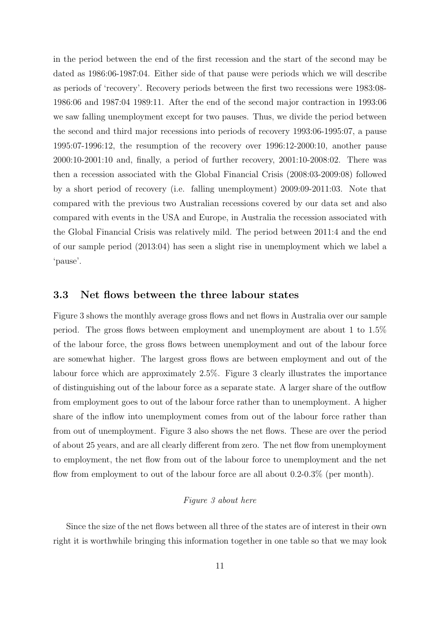in the period between the end of the first recession and the start of the second may be dated as 1986:06-1987:04. Either side of that pause were periods which we will describe as periods of 'recovery'. Recovery periods between the first two recessions were 1983:08- 1986:06 and 1987:04 1989:11. After the end of the second major contraction in 1993:06 we saw falling unemployment except for two pauses. Thus, we divide the period between the second and third major recessions into periods of recovery 1993:06-1995:07, a pause 1995:07-1996:12, the resumption of the recovery over 1996:12-2000:10, another pause 2000:10-2001:10 and, finally, a period of further recovery, 2001:10-2008:02. There was then a recession associated with the Global Financial Crisis (2008:03-2009:08) followed by a short period of recovery (i.e. falling unemployment) 2009:09-2011:03. Note that compared with the previous two Australian recessions covered by our data set and also compared with events in the USA and Europe, in Australia the recession associated with the Global Financial Crisis was relatively mild. The period between 2011:4 and the end of our sample period (2013:04) has seen a slight rise in unemployment which we label a 'pause'.

### 3.3 Net flows between the three labour states

Figure 3 shows the monthly average gross flows and net flows in Australia over our sample period. The gross flows between employment and unemployment are about 1 to 1.5% of the labour force, the gross flows between unemployment and out of the labour force are somewhat higher. The largest gross flows are between employment and out of the labour force which are approximately 2.5%. Figure 3 clearly illustrates the importance of distinguishing out of the labour force as a separate state. A larger share of the outflow from employment goes to out of the labour force rather than to unemployment. A higher share of the inflow into unemployment comes from out of the labour force rather than from out of unemployment. Figure 3 also shows the net flows. These are over the period of about 25 years, and are all clearly different from zero. The net flow from unemployment to employment, the net flow from out of the labour force to unemployment and the net flow from employment to out of the labour force are all about 0.2-0.3% (per month).

### Figure 3 about here

Since the size of the net flows between all three of the states are of interest in their own right it is worthwhile bringing this information together in one table so that we may look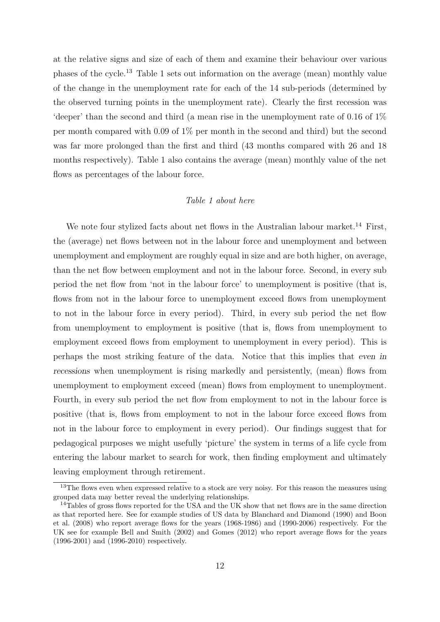at the relative signs and size of each of them and examine their behaviour over various phases of the cycle.<sup>13</sup> Table 1 sets out information on the average (mean) monthly value of the change in the unemployment rate for each of the 14 sub-periods (determined by the observed turning points in the unemployment rate). Clearly the first recession was 'deeper' than the second and third (a mean rise in the unemployment rate of 0.16 of 1% per month compared with 0.09 of 1% per month in the second and third) but the second was far more prolonged than the first and third (43 months compared with 26 and 18 months respectively). Table 1 also contains the average (mean) monthly value of the net flows as percentages of the labour force.

#### Table 1 about here

We note four stylized facts about net flows in the Australian labour market.<sup>14</sup> First, the (average) net flows between not in the labour force and unemployment and between unemployment and employment are roughly equal in size and are both higher, on average, than the net flow between employment and not in the labour force. Second, in every sub period the net flow from 'not in the labour force' to unemployment is positive (that is, flows from not in the labour force to unemployment exceed flows from unemployment to not in the labour force in every period). Third, in every sub period the net flow from unemployment to employment is positive (that is, flows from unemployment to employment exceed flows from employment to unemployment in every period). This is perhaps the most striking feature of the data. Notice that this implies that even in recessions when unemployment is rising markedly and persistently, (mean) flows from unemployment to employment exceed (mean) flows from employment to unemployment. Fourth, in every sub period the net flow from employment to not in the labour force is positive (that is, flows from employment to not in the labour force exceed flows from not in the labour force to employment in every period). Our findings suggest that for pedagogical purposes we might usefully 'picture' the system in terms of a life cycle from entering the labour market to search for work, then finding employment and ultimately leaving employment through retirement.

<sup>&</sup>lt;sup>13</sup>The flows even when expressed relative to a stock are very noisy. For this reason the measures using grouped data may better reveal the underlying relationships.

<sup>&</sup>lt;sup>14</sup>Tables of gross flows reported for the USA and the UK show that net flows are in the same direction as that reported here. See for example studies of US data by Blanchard and Diamond (1990) and Boon et al. (2008) who report average flows for the years (1968-1986) and (1990-2006) respectively. For the UK see for example Bell and Smith (2002) and Gomes (2012) who report average flows for the years (1996-2001) and (1996-2010) respectively.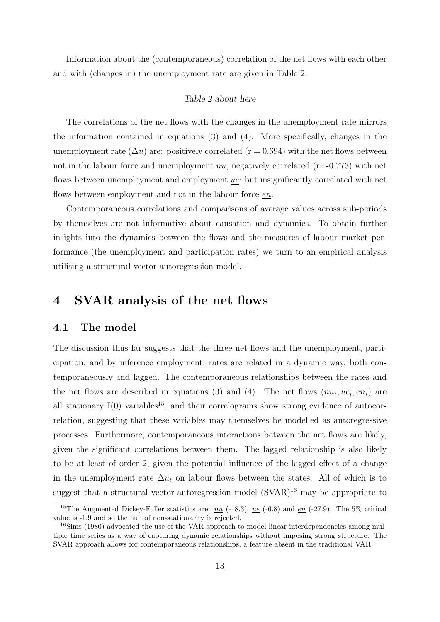Information about the (contemporaneous) correlation of the net flows with each other and with (changes in) the unemployment rate are given in Table 2.

#### Table 2 about here

The correlations of the net flows with the changes in the unemployment rate mirrors the information contained in equations (3) and (4). More specifically, changes in the unemployment rate  $(\Delta u)$  are: positively correlated (r = 0.694) with the net flows between not in the labour force and unemployment  $nu$ ; negatively correlated (r=-0.773) with net flows between unemployment and employment ue; but insignificantly correlated with net flows between employment and not in the labour force en.

Contemporaneous correlations and comparisons of average values across sub-periods by themselves are not informative about causation and dynamics. To obtain further insights into the dynamics between the flows and the measures of labour market performance (the unemployment and participation rates) we turn to an empirical analysis utilising a structural vector-autoregression model.

### 4 SVAR analysis of the net flows

#### 4.1 The model

The discussion thus far suggests that the three net flows and the unemployment, participation, and by inference employment, rates are related in a dynamic way, both contemporaneously and lagged. The contemporaneous relationships between the rates and the net flows are described in equations (3) and (4). The net flows  $(\underline{nu}_t, \underline{u}e_t, \underline{e}n_t)$  are all stationary  $I(0)$  variables<sup>15</sup>, and their correlograms show strong evidence of autocorrelation, suggesting that these variables may themselves be modelled as autoregressive processes. Furthermore, contemporaneous interactions between the net flows are likely, given the significant correlations between them. The lagged relationship is also likely to be at least of order 2, given the potential influence of the lagged effect of a change in the unemployment rate  $\Delta u_t$  on labour flows between the states. All of which is to suggest that a structural vector-autoregression model  $(SVAR)^{16}$  may be appropriate to

<sup>&</sup>lt;sup>15</sup>The Augmented Dickey-Fuller statistics are:  $\mu u$  (-18.3),  $\mu e$  (-6.8) and  $\epsilon n$  (-27.9). The 5% critical value is -1.9 and so the null of non-stationarity is rejected.

<sup>&</sup>lt;sup>16</sup>Sims (1980) advocated the use of the VAR approach to model linear interdependencies among multiple time series as a way of capturing dynamic relationships without imposing strong structure. The SVAR approach allows for contemporaneous relationships, a feature absent in the traditional VAR.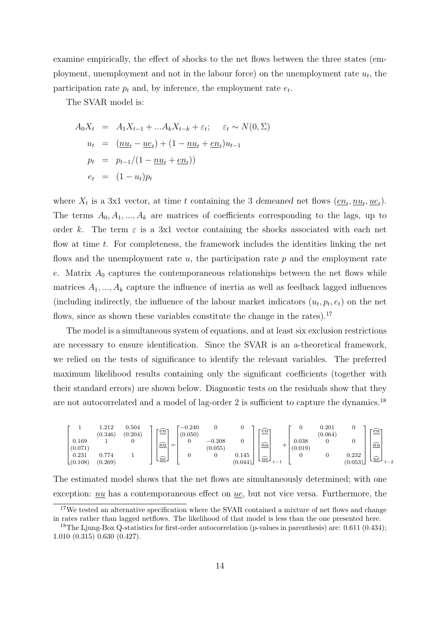examine empirically, the effect of shocks to the net flows between the three states (employment, unemployment and not in the labour force) on the unemployment rate  $u_t$ , the participation rate  $p_t$  and, by inference, the employment rate  $e_t$ .

The SVAR model is:

$$
A_0 X_t = A_1 X_{t-1} + ... A_k X_{t-k} + \varepsilon_t; \quad \varepsilon_t \sim N(0, \Sigma)
$$
  
\n
$$
u_t = (\underline{n}u_t - \underline{u}e_t) + (1 - \underline{n}u_t + \underline{e}n_t)u_{t-1}
$$
  
\n
$$
p_t = p_{t-1}/(1 - \underline{n}u_t + \underline{e}n_t))
$$
  
\n
$$
e_t = (1 - u_t)p_t
$$

where  $X_t$  is a 3x1 vector, at time t containing the 3 demeaned net flows  $(\underline{en}_t, \underline{nu}_t, \underline{uc}_t)$ . The terms  $A_0, A_1, ..., A_k$  are matrices of coefficients corresponding to the lags, up to order k. The term  $\varepsilon$  is a 3x1 vector containing the shocks associated with each net flow at time t. For completeness, the framework includes the identities linking the net flows and the unemployment rate  $u$ , the participation rate  $p$  and the employment rate e. Matrix  $A_0$  captures the contemporaneous relationships between the net flows while matrices  $A_1, ..., A_k$  capture the influence of inertia as well as feedback lagged influences (including indirectly, the influence of the labour market indicators  $(u_t, p_t, e_t)$  on the net flows, since as shown these variables constitute the change in the rates).<sup>17</sup>

The model is a simultaneous system of equations, and at least six exclusion restrictions are necessary to ensure identification. Since the SVAR is an a-theoretical framework, we relied on the tests of significance to identify the relevant variables. The preferred maximum likelihood results containing only the significant coefficients (together with their standard errors) are shown below. Diagnostic tests on the residuals show that they are not autocorrelated and a model of lag-order 2 is sufficient to capture the dynamics.<sup>18</sup>

|                                         | .212<br>(0.346)  | 0.504<br>(0.204) | <u>िंग</u>                     | $-0.240$<br>(0.050) |                     |                  | en                                                   |                  | 0.201<br>(0.064) |                  | $\widehat{en}$                                      |
|-----------------------------------------|------------------|------------------|--------------------------------|---------------------|---------------------|------------------|------------------------------------------------------|------------------|------------------|------------------|-----------------------------------------------------|
| 0.169<br>(0.071)                        |                  |                  | $\widehat{nu}$<br>=            | 0                   | $-0.208$<br>(0.055) |                  | $\widehat{nu}$                                       | 0.038<br>(0.019) |                  |                  | $\widehat{nu}$                                      |
| $_{0.231}$<br>$\lfloor (0.108) \rfloor$ | 0.774<br>(0.269) |                  | $\lfloor \widehat{ue} \rfloor$ |                     |                     | 0.145<br>(0.044) | $\lfloor \underline{\widehat{ue}} \rfloor$<br>$\sim$ |                  |                  | 0.232<br>(0.053) | $\lfloor \underline{\widehat{ue}} \rfloor$<br>$t-2$ |

The estimated model shows that the net flows are simultaneously determined; with one exception:  $nu$  has a contemporaneous effect on  $ue$ , but not vice versa. Furthermore, the

<sup>&</sup>lt;sup>17</sup>We tested an alternative specification where the SVAR contained a mixture of net flows and change in rates rather than lagged netflows. The likelihood of that model is less than the one presented here.

<sup>&</sup>lt;sup>18</sup>The Ljung-Box Q-statistics for first-order autocorrelation (p-values in parenthesis) are: 0.611 (0.434); 1.010 (0.315) 0.630 (0.427).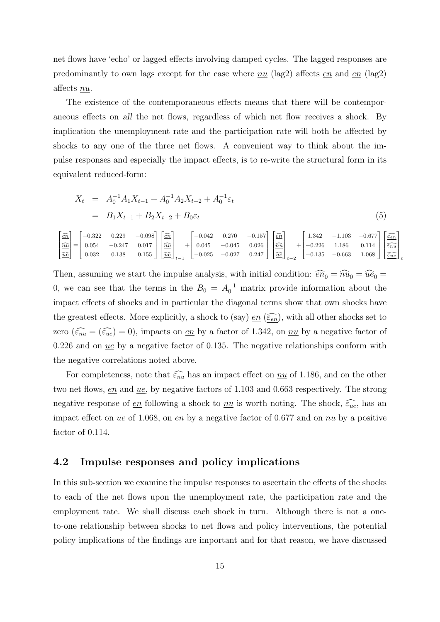net flows have 'echo' or lagged effects involving damped cycles. The lagged responses are predominantly to own lags except for the case where  $nu$  (lag2) affects en and en (lag2) affects nu.

The existence of the contemporaneous effects means that there will be contemporaneous effects on all the net flows, regardless of which net flow receives a shock. By implication the unemployment rate and the participation rate will both be affected by shocks to any one of the three net flows. A convenient way to think about the impulse responses and especially the impact effects, is to re-write the structural form in its equivalent reduced-form:

$$
X_t = A_0^{-1} A_1 X_{t-1} + A_0^{-1} A_2 X_{t-2} + A_0^{-1} \varepsilon_t
$$
  
=  $B_1 X_{t-1} + B_2 X_{t-2} + B_0 \varepsilon_t$  (5)

|  |  |  |  |  |  |  | $\begin{bmatrix} \widehat{\underline{en}} \\ \widehat{\underline{n u}} \\ \widehat{\underline{ue}} \end{bmatrix} = \begin{bmatrix} -0.322 & 0.229 & -0.098 \\ 0.054 & -0.247 & 0.017 \\ 0.032 & 0.138 & 0.155 \end{bmatrix} \begin{bmatrix} \widehat{\underline{en}} \\ \widehat{\underline{nu d}} \\ \widehat{\underline{ue}} \end{bmatrix}_{t-1} + \begin{bmatrix} -0.042 & 0.270 & -0.157 \\ 0.045 & -0.045 & 0.026 \\ -0.025 & -0.027 & $ |  |
|--|--|--|--|--|--|--|-----------------------------------------------------------------------------------------------------------------------------------------------------------------------------------------------------------------------------------------------------------------------------------------------------------------------------------------------------------------------------------------------------------------------------------------------|--|

Then, assuming we start the impulse analysis, with initial condition:  $\widehat{\epsilon n}_0 = \widehat{n} \widehat{u}_0 = \widehat{u} \widehat{e}_0 =$ 0, we can see that the terms in the  $B_0 = A_0^{-1}$  matrix provide information about the impact effects of shocks and in particular the diagonal terms show that own shocks have the greatest effects. More explicitly, a shock to (say)  $\underline{en}(\widehat{\varepsilon_{en}})$ , with all other shocks set to zero  $(\underline{\widehat{\epsilon}_{nu}} = (\underline{\widehat{\epsilon}_{ue}}) = 0)$ , impacts on <u>en</u> by a factor of 1.342, on <u>nu</u> by a negative factor of 0.226 and on  $ue$  by a negative factor of 0.135. The negative relationships conform with the negative correlations noted above.

For completeness, note that  $\widehat{\epsilon_{nu}}$  has an impact effect on  $\underline{nu}$  of 1.186, and on the other two net flows,  $en$  and  $ue$ , by negative factors of 1.103 and 0.663 respectively. The strong</u></u> negative response of <u>en</u> following a shock to <u>nu</u> is worth noting. The shock,  $\epsilon_{ue}$ , has an impact effect on <u>ue</u> of 1.068, on <u>en</u> by a negative factor of 0.677 and on  $nu$  by a positive factor of 0.114.

### 4.2 Impulse responses and policy implications

In this sub-section we examine the impulse responses to ascertain the effects of the shocks to each of the net flows upon the unemployment rate, the participation rate and the employment rate. We shall discuss each shock in turn. Although there is not a oneto-one relationship between shocks to net flows and policy interventions, the potential policy implications of the findings are important and for that reason, we have discussed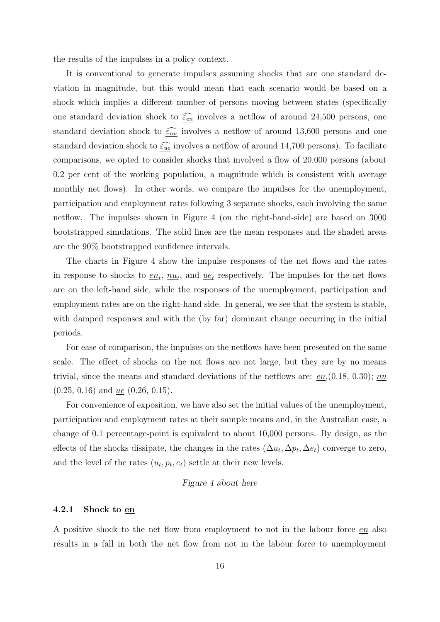the results of the impulses in a policy context.

It is conventional to generate impulses assuming shocks that are one standard deviation in magnitude, but this would mean that each scenario would be based on a shock which implies a different number of persons moving between states (specifically one standard deviation shock to  $\epsilon_{en}$  involves a netflow of around 24,500 persons, one standard deviation shock to  $\widehat{\epsilon_{nu}}$  involves a netflow of around 13,600 persons and one standard deviation shock to  $\widehat{\varepsilon_{ue}}$  involves a netflow of around 14,700 persons). To faciliate comparisons, we opted to consider shocks that involved a flow of 20,000 persons (about 0.2 per cent of the working population, a magnitude which is consistent with average monthly net flows). In other words, we compare the impulses for the unemployment, participation and employment rates following 3 separate shocks, each involving the same netflow. The impulses shown in Figure 4 (on the right-hand-side) are based on 3000 bootstrapped simulations. The solid lines are the mean responses and the shaded areas are the 90% bootstrapped confidence intervals.

The charts in Figure 4 show the impulse responses of the net flows and the rates in response to shocks to  $\underline{en}_t$ ,  $\underline{nu}_t$ , and  $\underline{ue}_t$  respectively. The impulses for the net flows are on the left-hand side, while the responses of the unemployment, participation and employment rates are on the right-hand side. In general, we see that the system is stable, with damped responses and with the (by far) dominant change occurring in the initial periods.

For ease of comparison, the impulses on the netflows have been presented on the same scale. The effect of shocks on the net flows are not large, but they are by no means trivial, since the means and standard deviations of the netflows are:  $en(0.18, 0.30); nu$  $(0.25, 0.16)$  and <u>ue</u>  $(0.26, 0.15)$ .

For convenience of exposition, we have also set the initial values of the unemployment, participation and employment rates at their sample means and, in the Australian case, a change of 0.1 percentage-point is equivalent to about 10,000 persons. By design, as the effects of the shocks dissipate, the changes in the rates  $(\Delta u_t, \Delta p_t, \Delta e_t)$  converge to zero, and the level of the rates  $(u_t, p_t, e_t)$  settle at their new levels.

#### Figure 4 about here

#### 4.2.1 Shock to en

A positive shock to the net flow from employment to not in the labour force en also results in a fall in both the net flow from not in the labour force to unemployment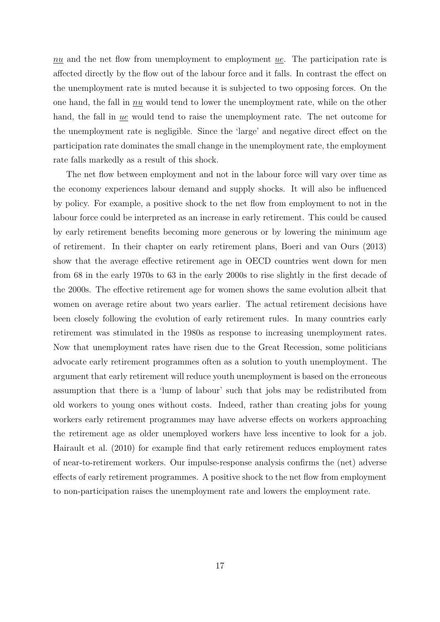$nu$  and the net flow from unemployment to employment  $ue$ . The participation rate is affected directly by the flow out of the labour force and it falls. In contrast the effect on the unemployment rate is muted because it is subjected to two opposing forces. On the one hand, the fall in nu would tend to lower the unemployment rate, while on the other hand, the fall in ue would tend to raise the unemployment rate. The net outcome for the unemployment rate is negligible. Since the 'large' and negative direct effect on the participation rate dominates the small change in the unemployment rate, the employment rate falls markedly as a result of this shock.

The net flow between employment and not in the labour force will vary over time as the economy experiences labour demand and supply shocks. It will also be influenced by policy. For example, a positive shock to the net flow from employment to not in the labour force could be interpreted as an increase in early retirement. This could be caused by early retirement benefits becoming more generous or by lowering the minimum age of retirement. In their chapter on early retirement plans, Boeri and van Ours (2013) show that the average effective retirement age in OECD countries went down for men from 68 in the early 1970s to 63 in the early 2000s to rise slightly in the first decade of the 2000s. The effective retirement age for women shows the same evolution albeit that women on average retire about two years earlier. The actual retirement decisions have been closely following the evolution of early retirement rules. In many countries early retirement was stimulated in the 1980s as response to increasing unemployment rates. Now that unemployment rates have risen due to the Great Recession, some politicians advocate early retirement programmes often as a solution to youth unemployment. The argument that early retirement will reduce youth unemployment is based on the erroneous assumption that there is a 'lump of labour' such that jobs may be redistributed from old workers to young ones without costs. Indeed, rather than creating jobs for young workers early retirement programmes may have adverse effects on workers approaching the retirement age as older unemployed workers have less incentive to look for a job. Hairault et al. (2010) for example find that early retirement reduces employment rates of near-to-retirement workers. Our impulse-response analysis confirms the (net) adverse effects of early retirement programmes. A positive shock to the net flow from employment to non-participation raises the unemployment rate and lowers the employment rate.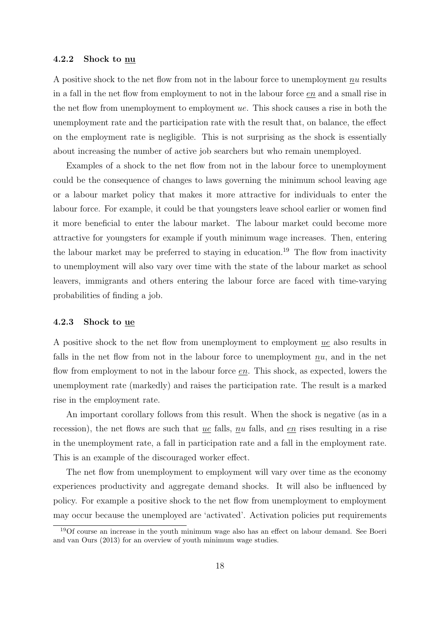#### 4.2.2 Shock to nu

A positive shock to the net flow from not in the labour force to unemployment nu results in a fall in the net flow from employment to not in the labour force en and a small rise in the net flow from unemployment to employment ue. This shock causes a rise in both the unemployment rate and the participation rate with the result that, on balance, the effect on the employment rate is negligible. This is not surprising as the shock is essentially about increasing the number of active job searchers but who remain unemployed.

Examples of a shock to the net flow from not in the labour force to unemployment could be the consequence of changes to laws governing the minimum school leaving age or a labour market policy that makes it more attractive for individuals to enter the labour force. For example, it could be that youngsters leave school earlier or women find it more beneficial to enter the labour market. The labour market could become more attractive for youngsters for example if youth minimum wage increases. Then, entering the labour market may be preferred to staying in education.<sup>19</sup> The flow from inactivity to unemployment will also vary over time with the state of the labour market as school leavers, immigrants and others entering the labour force are faced with time-varying probabilities of finding a job.

#### 4.2.3 Shock to ue

A positive shock to the net flow from unemployment to employment  $\mu$ e also results in falls in the net flow from not in the labour force to unemployment nu, and in the net flow from employment to not in the labour force  $e_n$ . This shock, as expected, lowers the unemployment rate (markedly) and raises the participation rate. The result is a marked rise in the employment rate.

An important corollary follows from this result. When the shock is negative (as in a recession), the net flows are such that ue falls, nu falls, and en rises resulting in a rise in the unemployment rate, a fall in participation rate and a fall in the employment rate. This is an example of the discouraged worker effect.

The net flow from unemployment to employment will vary over time as the economy experiences productivity and aggregate demand shocks. It will also be influenced by policy. For example a positive shock to the net flow from unemployment to employment may occur because the unemployed are 'activated'. Activation policies put requirements

<sup>&</sup>lt;sup>19</sup>Of course an increase in the youth minimum wage also has an effect on labour demand. See Boeri and van Ours (2013) for an overview of youth minimum wage studies.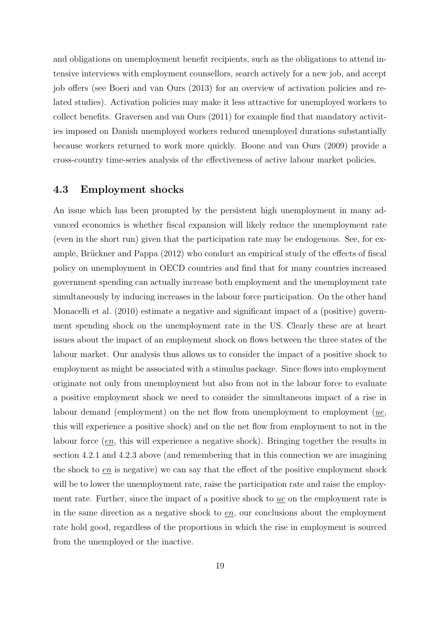and obligations on unemployment benefit recipients, such as the obligations to attend intensive interviews with employment counsellors, search actively for a new job, and accept job offers (see Boeri and van Ours (2013) for an overview of activation policies and related studies). Activation policies may make it less attractive for unemployed workers to collect benefits. Graversen and van Ours (2011) for example find that mandatory activities imposed on Danish unemployed workers reduced unemployed durations substantially because workers returned to work more quickly. Boone and van Ours (2009) provide a cross-country time-series analysis of the effectiveness of active labour market policies.

### 4.3 Employment shocks

An issue which has been prompted by the persistent high unemployment in many advanced economics is whether fiscal expansion will likely reduce the unemployment rate (even in the short run) given that the participation rate may be endogenous. See, for example, Brückner and Pappa (2012) who conduct an empirical study of the effects of fiscal policy on unemployment in OECD countries and find that for many countries increased government spending can actually increase both employment and the unemployment rate simultaneously by inducing increases in the labour force participation. On the other hand Monacelli et al. (2010) estimate a negative and significant impact of a (positive) government spending shock on the unemployment rate in the US. Clearly these are at heart issues about the impact of an employment shock on flows between the three states of the labour market. Our analysis thus allows us to consider the impact of a positive shock to employment as might be associated with a stimulus package. Since flows into employment originate not only from unemployment but also from not in the labour force to evaluate a positive employment shock we need to consider the simultaneous impact of a rise in labour demand (employment) on the net flow from unemployment to employment (ue, this will experience a positive shock) and on the net flow from employment to not in the labour force (en, this will experience a negative shock). Bringing together the results in section 4.2.1 and 4.2.3 above (and remembering that in this connection we are imagining the shock to en is negative) we can say that the effect of the positive employment shock will be to lower the unemployment rate, raise the participation rate and raise the employment rate. Further, since the impact of a positive shock to ue on the employment rate is in the same direction as a negative shock to  $en$ , our conclusions about the employment rate hold good, regardless of the proportions in which the rise in employment is sourced from the unemployed or the inactive.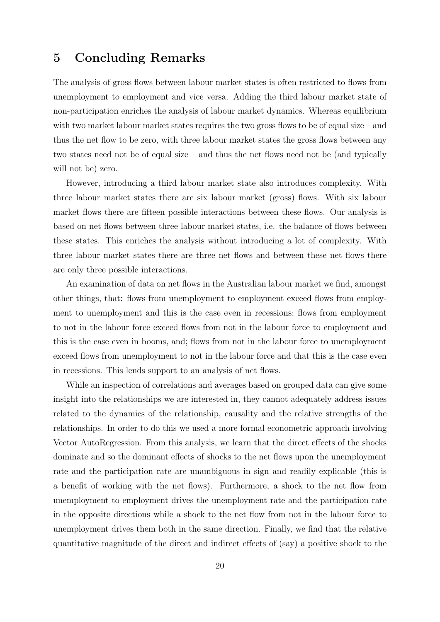# 5 Concluding Remarks

The analysis of gross flows between labour market states is often restricted to flows from unemployment to employment and vice versa. Adding the third labour market state of non-participation enriches the analysis of labour market dynamics. Whereas equilibrium with two market labour market states requires the two gross flows to be of equal size – and thus the net flow to be zero, with three labour market states the gross flows between any two states need not be of equal size – and thus the net flows need not be (and typically will not be) zero.

However, introducing a third labour market state also introduces complexity. With three labour market states there are six labour market (gross) flows. With six labour market flows there are fifteen possible interactions between these flows. Our analysis is based on net flows between three labour market states, i.e. the balance of flows between these states. This enriches the analysis without introducing a lot of complexity. With three labour market states there are three net flows and between these net flows there are only three possible interactions.

An examination of data on net flows in the Australian labour market we find, amongst other things, that: flows from unemployment to employment exceed flows from employment to unemployment and this is the case even in recessions; flows from employment to not in the labour force exceed flows from not in the labour force to employment and this is the case even in booms, and; flows from not in the labour force to unemployment exceed flows from unemployment to not in the labour force and that this is the case even in recessions. This lends support to an analysis of net flows.

While an inspection of correlations and averages based on grouped data can give some insight into the relationships we are interested in, they cannot adequately address issues related to the dynamics of the relationship, causality and the relative strengths of the relationships. In order to do this we used a more formal econometric approach involving Vector AutoRegression. From this analysis, we learn that the direct effects of the shocks dominate and so the dominant effects of shocks to the net flows upon the unemployment rate and the participation rate are unambiguous in sign and readily explicable (this is a benefit of working with the net flows). Furthermore, a shock to the net flow from unemployment to employment drives the unemployment rate and the participation rate in the opposite directions while a shock to the net flow from not in the labour force to unemployment drives them both in the same direction. Finally, we find that the relative quantitative magnitude of the direct and indirect effects of (say) a positive shock to the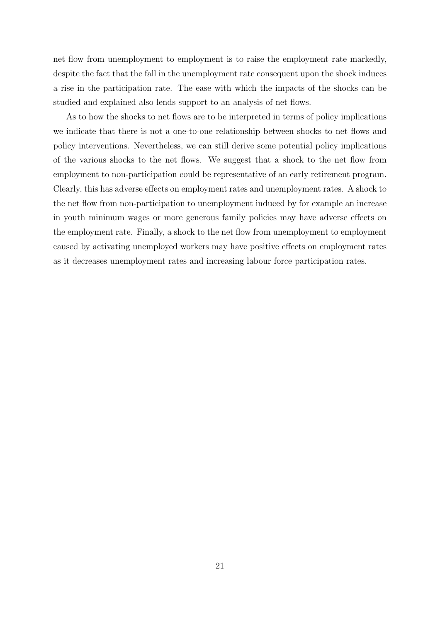net flow from unemployment to employment is to raise the employment rate markedly, despite the fact that the fall in the unemployment rate consequent upon the shock induces a rise in the participation rate. The ease with which the impacts of the shocks can be studied and explained also lends support to an analysis of net flows.

As to how the shocks to net flows are to be interpreted in terms of policy implications we indicate that there is not a one-to-one relationship between shocks to net flows and policy interventions. Nevertheless, we can still derive some potential policy implications of the various shocks to the net flows. We suggest that a shock to the net flow from employment to non-participation could be representative of an early retirement program. Clearly, this has adverse effects on employment rates and unemployment rates. A shock to the net flow from non-participation to unemployment induced by for example an increase in youth minimum wages or more generous family policies may have adverse effects on the employment rate. Finally, a shock to the net flow from unemployment to employment caused by activating unemployed workers may have positive effects on employment rates as it decreases unemployment rates and increasing labour force participation rates.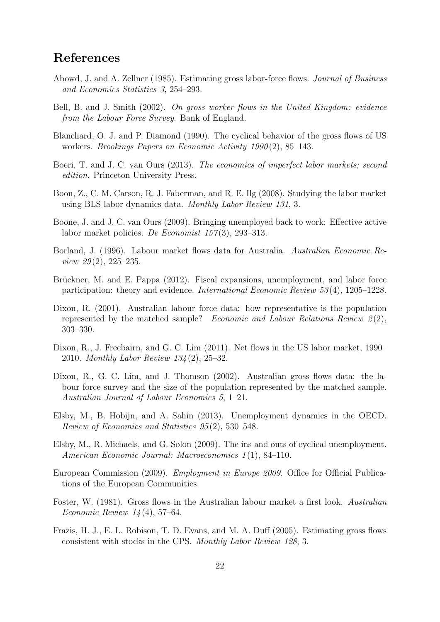# References

- Abowd, J. and A. Zellner (1985). Estimating gross labor-force flows. Journal of Business and Economics Statistics 3, 254–293.
- Bell, B. and J. Smith (2002). On gross worker flows in the United Kingdom: evidence from the Labour Force Survey. Bank of England.
- Blanchard, O. J. and P. Diamond (1990). The cyclical behavior of the gross flows of US workers. Brookings Papers on Economic Activity 1990 (2), 85–143.
- Boeri, T. and J. C. van Ours (2013). The economics of imperfect labor markets; second edition. Princeton University Press.
- Boon, Z., C. M. Carson, R. J. Faberman, and R. E. Ilg (2008). Studying the labor market using BLS labor dynamics data. Monthly Labor Review 131, 3.
- Boone, J. and J. C. van Ours (2009). Bringing unemployed back to work: Effective active labor market policies. De Economist  $157(3)$ , 293–313.
- Borland, J. (1996). Labour market flows data for Australia. Australian Economic Review  $29(2)$ ,  $225-235$ .
- Brückner, M. and E. Pappa (2012). Fiscal expansions, unemployment, and labor force participation: theory and evidence. International Economic Review 53 (4), 1205–1228.
- Dixon, R. (2001). Australian labour force data: how representative is the population represented by the matched sample? Economic and Labour Relations Review  $\mathcal{Z}(2)$ , 303–330.
- Dixon, R., J. Freebairn, and G. C. Lim (2011). Net flows in the US labor market, 1990– 2010. Monthly Labor Review 134 (2), 25–32.
- Dixon, R., G. C. Lim, and J. Thomson (2002). Australian gross flows data: the labour force survey and the size of the population represented by the matched sample. Australian Journal of Labour Economics 5, 1–21.
- Elsby, M., B. Hobijn, and A. Sahin (2013). Unemployment dynamics in the OECD. Review of Economics and Statistics 95 (2), 530–548.
- Elsby, M., R. Michaels, and G. Solon (2009). The ins and outs of cyclical unemployment. American Economic Journal: Macroeconomics 1(1), 84–110.
- European Commission (2009). *Employment in Europe 2009*. Office for Official Publications of the European Communities.
- Foster, W. (1981). Gross flows in the Australian labour market a first look. Australian *Economic Review 14* (4), 57–64.
- Frazis, H. J., E. L. Robison, T. D. Evans, and M. A. Duff (2005). Estimating gross flows consistent with stocks in the CPS. Monthly Labor Review 128, 3.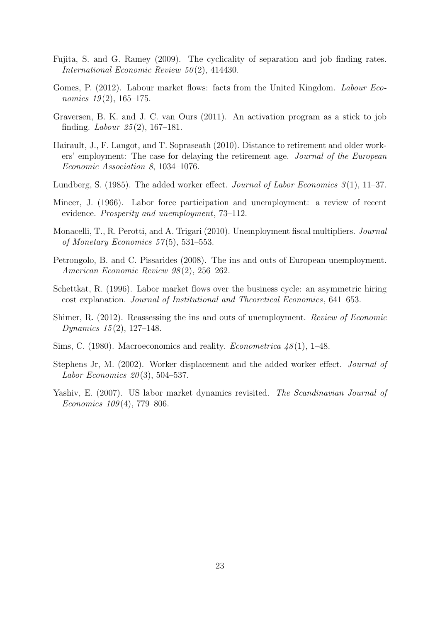- Fujita, S. and G. Ramey (2009). The cyclicality of separation and job finding rates. International Economic Review  $50(2)$ , 414430.
- Gomes, P. (2012). Labour market flows: facts from the United Kingdom. Labour Economics  $19(2)$ , 165–175.
- Graversen, B. K. and J. C. van Ours (2011). An activation program as a stick to job finding. *Labour* 25(2), 167–181.
- Hairault, J., F. Langot, and T. Sopraseath (2010). Distance to retirement and older workers' employment: The case for delaying the retirement age. Journal of the European Economic Association 8, 1034–1076.
- Lundberg, S. (1985). The added worker effect. Journal of Labor Economics  $\mathcal{S}(1)$ , 11–37.
- Mincer, J. (1966). Labor force participation and unemployment: a review of recent evidence. Prosperity and unemployment, 73–112.
- Monacelli, T., R. Perotti, and A. Trigari (2010). Unemployment fiscal multipliers. Journal of Monetary Economics  $57(5)$ , 531–553.
- Petrongolo, B. and C. Pissarides (2008). The ins and outs of European unemployment. American Economic Review 98 (2), 256–262.
- Schettkat, R. (1996). Labor market flows over the business cycle: an asymmetric hiring cost explanation. Journal of Institutional and Theoretical Economics, 641–653.
- Shimer, R. (2012). Reassessing the ins and outs of unemployment. Review of Economic Dynamics  $15(2)$ , 127–148.
- Sims, C. (1980). Macroeconomics and reality. *Econometrica*  $48(1)$ , 1–48.
- Stephens Jr, M. (2002). Worker displacement and the added worker effect. Journal of Labor Economics  $20(3)$ , 504–537.
- Yashiv, E. (2007). US labor market dynamics revisited. The Scandinavian Journal of Economics  $109(4)$ , 779–806.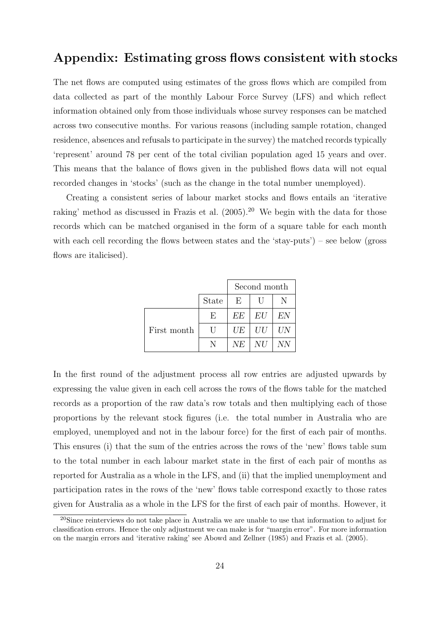### Appendix: Estimating gross flows consistent with stocks

The net flows are computed using estimates of the gross flows which are compiled from data collected as part of the monthly Labour Force Survey (LFS) and which reflect information obtained only from those individuals whose survey responses can be matched across two consecutive months. For various reasons (including sample rotation, changed residence, absences and refusals to participate in the survey) the matched records typically 'represent' around 78 per cent of the total civilian population aged 15 years and over. This means that the balance of flows given in the published flows data will not equal recorded changes in 'stocks' (such as the change in the total number unemployed).

Creating a consistent series of labour market stocks and flows entails an 'iterative raking' method as discussed in Frazis et al. (2005).<sup>20</sup> We begin with the data for those records which can be matched organised in the form of a square table for each month with each cell recording the flows between states and the 'stay-puts') – see below (gross flows are italicised).

|             | Second month |    |    |    |  |
|-------------|--------------|----|----|----|--|
|             | <b>State</b> | E  |    |    |  |
|             | F,           | EE | EU | EN |  |
| First month | $\Box$       | UE | UU | UN |  |
|             | N            | NE | NU | ΝN |  |

In the first round of the adjustment process all row entries are adjusted upwards by expressing the value given in each cell across the rows of the flows table for the matched records as a proportion of the raw data's row totals and then multiplying each of those proportions by the relevant stock figures (i.e. the total number in Australia who are employed, unemployed and not in the labour force) for the first of each pair of months. This ensures (i) that the sum of the entries across the rows of the 'new' flows table sum to the total number in each labour market state in the first of each pair of months as reported for Australia as a whole in the LFS, and (ii) that the implied unemployment and participation rates in the rows of the 'new' flows table correspond exactly to those rates given for Australia as a whole in the LFS for the first of each pair of months. However, it

<sup>&</sup>lt;sup>20</sup>Since reinterviews do not take place in Australia we are unable to use that information to adjust for classification errors. Hence the only adjustment we can make is for "margin error". For more information on the margin errors and 'iterative raking' see Abowd and Zellner (1985) and Frazis et al. (2005).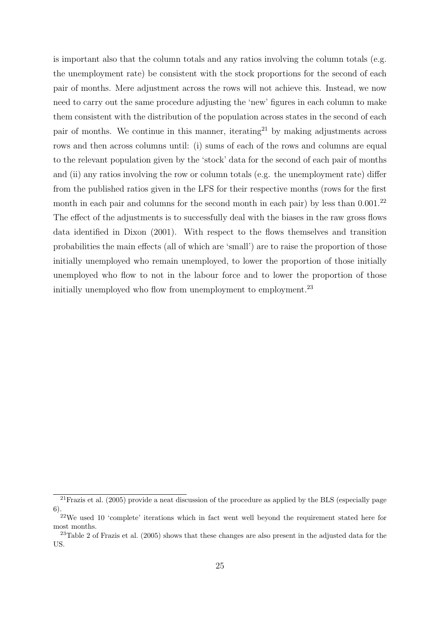is important also that the column totals and any ratios involving the column totals (e.g. the unemployment rate) be consistent with the stock proportions for the second of each pair of months. Mere adjustment across the rows will not achieve this. Instead, we now need to carry out the same procedure adjusting the 'new' figures in each column to make them consistent with the distribution of the population across states in the second of each pair of months. We continue in this manner, iterating<sup>21</sup> by making adjustments across rows and then across columns until: (i) sums of each of the rows and columns are equal to the relevant population given by the 'stock' data for the second of each pair of months and (ii) any ratios involving the row or column totals (e.g. the unemployment rate) differ from the published ratios given in the LFS for their respective months (rows for the first month in each pair and columns for the second month in each pair) by less than  $0.001$ .<sup>22</sup> The effect of the adjustments is to successfully deal with the biases in the raw gross flows data identified in Dixon (2001). With respect to the flows themselves and transition probabilities the main effects (all of which are 'small') are to raise the proportion of those initially unemployed who remain unemployed, to lower the proportion of those initially unemployed who flow to not in the labour force and to lower the proportion of those initially unemployed who flow from unemployment to employment.<sup>23</sup>

 $\frac{21}{21}$ Frazis et al. (2005) provide a neat discussion of the procedure as applied by the BLS (especially page 6).

<sup>22</sup>We used 10 'complete' iterations which in fact went well beyond the requirement stated here for most months.

<sup>&</sup>lt;sup>23</sup>Table 2 of Frazis et al. (2005) shows that these changes are also present in the adjusted data for the US.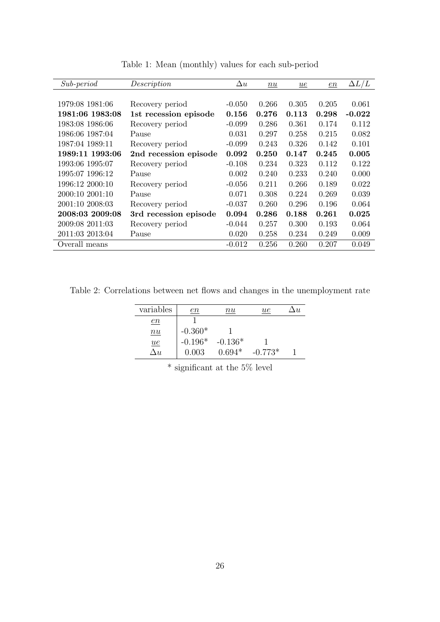| $Sub-period$    | Description           | $\Delta u$ | n u   | ue    | en    | $\Delta L/L$ |
|-----------------|-----------------------|------------|-------|-------|-------|--------------|
|                 |                       |            |       |       |       |              |
| 1979:08 1981:06 | Recovery period       | $-0.050$   | 0.266 | 0.305 | 0.205 | 0.061        |
| 1981:06 1983:08 | 1st recession episode | 0.156      | 0.276 | 0.113 | 0.298 | $-0.022$     |
| 1983:08 1986:06 | Recovery period       | $-0.099$   | 0.286 | 0.361 | 0.174 | 0.112        |
| 1986:06 1987:04 | Pause                 | 0.031      | 0.297 | 0.258 | 0.215 | 0.082        |
| 1987:04 1989:11 | Recovery period       | $-0.099$   | 0.243 | 0.326 | 0.142 | 0.101        |
| 1989:11 1993:06 | 2nd recession episode | 0.092      | 0.250 | 0.147 | 0.245 | 0.005        |
| 1993:06 1995:07 | Recovery period       | $-0.108$   | 0.234 | 0.323 | 0.112 | 0.122        |
| 1995:07 1996:12 | Pause                 | 0.002      | 0.240 | 0.233 | 0.240 | 0.000        |
| 1996:12 2000:10 | Recovery period       | $-0.056$   | 0.211 | 0.266 | 0.189 | 0.022        |
| 2000:10 2001:10 | Pause                 | 0.071      | 0.308 | 0.224 | 0.269 | 0.039        |
| 2001:10 2008:03 | Recovery period       | $-0.037$   | 0.260 | 0.296 | 0.196 | 0.064        |
| 2008:03 2009:08 | 3rd recession episode | 0.094      | 0.286 | 0.188 | 0.261 | 0.025        |
| 2009:08 2011:03 | Recovery period       | $-0.044$   | 0.257 | 0.300 | 0.193 | 0.064        |
| 2011:03 2013:04 | Pause                 | 0.020      | 0.258 | 0.234 | 0.249 | 0.009        |
| Overall means   |                       | $-0.012$   | 0.256 | 0.260 | 0.207 | 0.049        |

Table 1: Mean (monthly) values for each sub-period

Table 2: Correlations between net flows and changes in the unemployment rate

| variables        | $\emph{en}$ | nu        | ue        |  |
|------------------|-------------|-----------|-----------|--|
| <u>en</u>        |             |           |           |  |
| $\underline{nu}$ | $-0.360*$   |           |           |  |
| $ue$             | $-0.196*$   | $-0.136*$ |           |  |
| $\Delta u$       | 0.003       | $0.694*$  | $-0.773*$ |  |

 $^{\ast}$  significant at the 5% level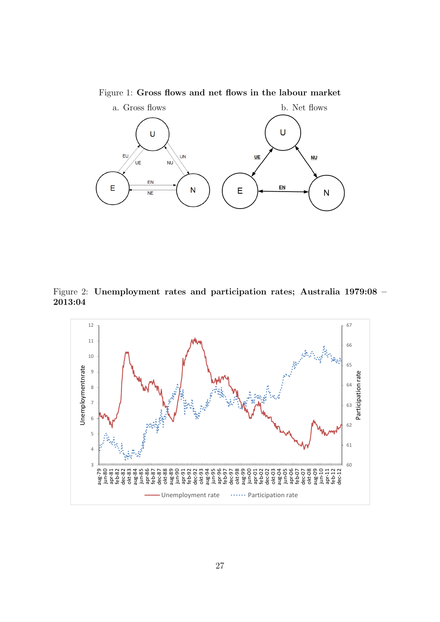Figure 1: Gross flows and net flows in the labour market



Figure 2: Unemployment rates and participation rates; Australia 1979:08 – 2013:04